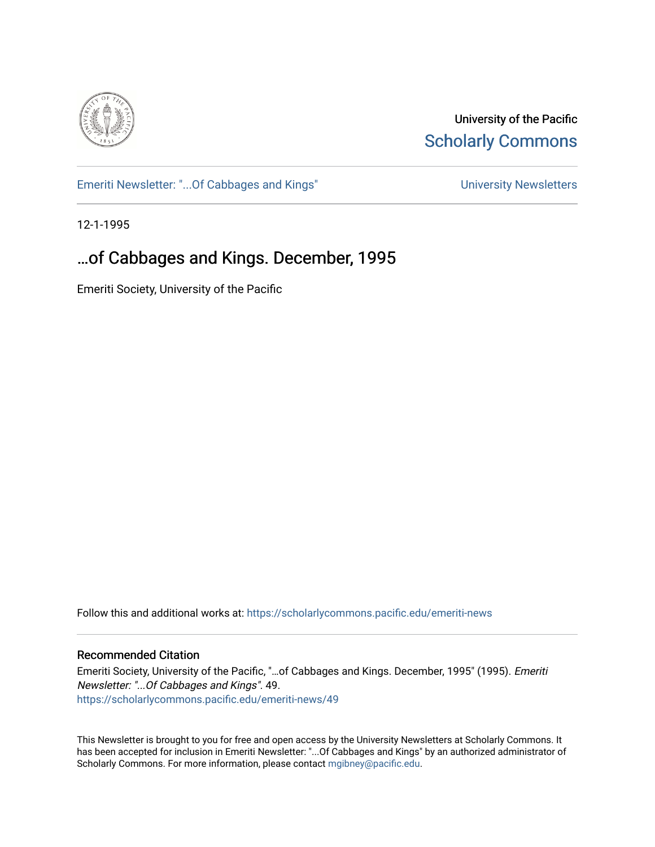

University of the Pacific **Scholarly Commons** 

[Emeriti Newsletter: "...Of Cabbages and Kings"](https://scholarlycommons.pacific.edu/emeriti-news) Newsletters University Newsletters

12-1-1995

## …of Cabbages and Kings. December, 1995

Emeriti Society, University of the Pacific

Follow this and additional works at: [https://scholarlycommons.pacific.edu/emeriti-news](https://scholarlycommons.pacific.edu/emeriti-news?utm_source=scholarlycommons.pacific.edu%2Femeriti-news%2F49&utm_medium=PDF&utm_campaign=PDFCoverPages)

### Recommended Citation

Emeriti Society, University of the Pacific, "…of Cabbages and Kings. December, 1995" (1995). Emeriti Newsletter: "...Of Cabbages and Kings". 49. [https://scholarlycommons.pacific.edu/emeriti-news/49](https://scholarlycommons.pacific.edu/emeriti-news/49?utm_source=scholarlycommons.pacific.edu%2Femeriti-news%2F49&utm_medium=PDF&utm_campaign=PDFCoverPages) 

This Newsletter is brought to you for free and open access by the University Newsletters at Scholarly Commons. It has been accepted for inclusion in Emeriti Newsletter: "...Of Cabbages and Kings" by an authorized administrator of Scholarly Commons. For more information, please contact [mgibney@pacific.edu.](mailto:mgibney@pacific.edu)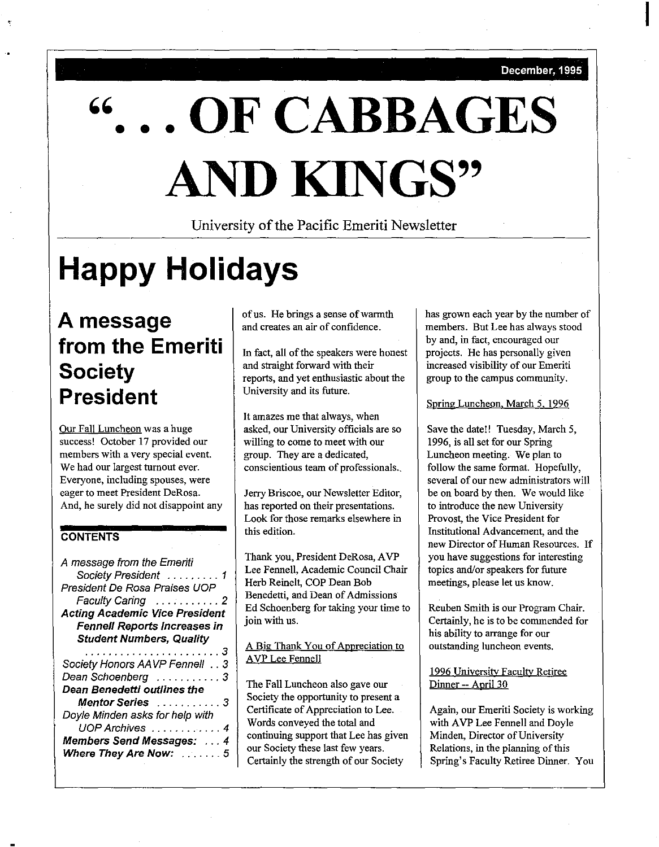I

# '' **OF CABBAGES** • • • **AND KINGS''**

University of the Pacific Emeriti Newsletter

# **Happy Holidays**

## **A message from the Emeriti Society President**

Our Fall Luncheon was a huge success! October 17 provided our members with a very special event. We had our largest turnout ever. Everyone, including spouses, were eager to meet President DeRosa. And, he surely did not disappoint any

## **CONTENTS**

| Society President  1<br>Faculty Caring  2<br><b>Fennell Reports Increases in</b><br><b>Student Numbers, Quality</b><br>. 3<br>Society Honors AAVP Fennell 3<br>Dean Schoenberg 3<br>Dean Benedetti outlines the<br>Mentor Series 3<br>Doyle Minden asks for help with<br>UOP Archives  4<br><b>Members Send Messages:  4</b><br>Where They Are Now:  5 | A message from the Emeriti            |
|--------------------------------------------------------------------------------------------------------------------------------------------------------------------------------------------------------------------------------------------------------------------------------------------------------------------------------------------------------|---------------------------------------|
|                                                                                                                                                                                                                                                                                                                                                        |                                       |
|                                                                                                                                                                                                                                                                                                                                                        | President De Rosa Praises UOP         |
|                                                                                                                                                                                                                                                                                                                                                        |                                       |
|                                                                                                                                                                                                                                                                                                                                                        | <b>Acting Academic Vice President</b> |
|                                                                                                                                                                                                                                                                                                                                                        |                                       |
|                                                                                                                                                                                                                                                                                                                                                        |                                       |
|                                                                                                                                                                                                                                                                                                                                                        |                                       |
|                                                                                                                                                                                                                                                                                                                                                        |                                       |
|                                                                                                                                                                                                                                                                                                                                                        |                                       |
|                                                                                                                                                                                                                                                                                                                                                        |                                       |
|                                                                                                                                                                                                                                                                                                                                                        |                                       |
|                                                                                                                                                                                                                                                                                                                                                        |                                       |
|                                                                                                                                                                                                                                                                                                                                                        |                                       |
|                                                                                                                                                                                                                                                                                                                                                        |                                       |
|                                                                                                                                                                                                                                                                                                                                                        |                                       |

of us. He brings a sense of warmth and creates an air of confidence.

In fact, all of the speakers were honest and straight forward with their reports, and yet enthusiastic about the University and its future.

It amazes me that always, when asked, our University officials are so willing to come to meet with our group. They are a dedicated, conscientious team of professionals.\_

Jerry Briscoe, our Newsletter Editor, has reported on their presentations. Look for those remarks elsewhere in this edition.

Thank you, President DeRosa, A VP Lee Fennell, Academic Council Chair Herb Reinelt, COP Dean Bob Benedetti, and Dean of Admissions Ed Schoenberg for taking your time to join with us.

### A Big Thank You of Appreciation to A VP Lee Fennell

The Fall Luncheon also gave our Society the opportunity to present a Certificate of Appreciation to Lee. Words conveyed the total and continuing support that Lee has given our Society these last few years. Certainly the strength of our Society

has grown each year by the number of members. But Lee has always stood by and, in fact, encouraged our projects. He has personally given increased visibility of our Emeriti group to the campus community.

Spring Luncheon, March 5, 1996

Save the date!! Tuesday, March 5, 1996, is all set for our Spring Luncheon meeting. We plan to follow the same format. Hopefully, several of our new administrators will be on board by then. We would like to introduce the new University Provost, the Vice President for Institutional Advancement, and the new Director of Human Resources. If you have suggestions for interesting topics and/or speakers for future meetings, please let us know.

Reuben Smith is our Program Chair. Certainly, he is to be commended for his ability to arrange for our outstanding luncheon events.

### 1996 Universitv Facultv Retiree Dinner -- April 30

Again, our Emeriti Society is working with AVP Lee Fennell and Doyle Minden, Director of University Relations, in the planning of this Spring's Faculty Retiree Dinner. You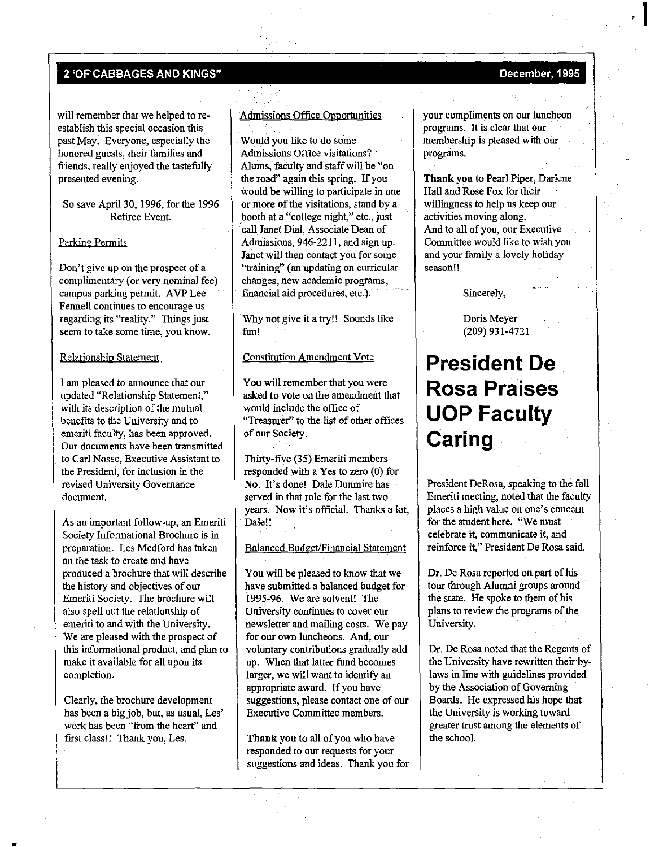will remember that we helped to reestablish this special occasion this past May. Everyone, especially the honored guests, their families and friends, really enjoyed the tastefully presented evening.

So save April30, 1996, for the 1996 Retiree Event.

#### **Parking Permits**

Don't give up on the prospect of a complimentary (or very nominal fee) campus parking permit. A VP Lee Fennell continues to encourage us **regarding its "reality." Things just**  seem to take some time, you know.

Relationship Statement,

I am pleased to announce that our updated "Relationship Statement," with its description of the mutual benefits to the University and to emeriti faculty, has been approved. Our documents have been transmitted to Carl Nosse, Executive Assistant to the President, for inclusion in the revised University Governance **document.** 

As an important follow-up, an Emeriti Society Informational Brochure is in preparation. Les Medford has taken on the task to create and have produced a brochure that will describe the history and objectives of our Emeriti Society. The brochure will also spell out the relationship of emeriti to and with the University. We are pleased with the prospect of this informational product, and plan to make it available for all upon its completion.

Clearly, the brochure development has been a big job, but, as usual, Les' work has been "from the heart" and first class!! Thank you, Les.

#### Admissions Office Opportunities

Would you like to do some Admissions Office visitations? Alums, faculty and staff will be "on the road" again this spring. If you would be willing to participate in one or more of the visitations, stand by a booth at a "college night," etc., just call Janet Dial, Associate Dean of Admissions, 946-2211, and sign up. Janet will then contact you for some "training" (an updating on curricular changes, new academic programs, financial aid procedures, etc.).

Why not give it a try!! Sounds like fim!

#### Constitution Amendment Vote

You will remember that you were asked to vote on the amendment that would include the office of "Treasurer" to the list of other offices of our Society.

Thirty-five (35) Emeriti members responded with a Yes to zero (0) for No. It's done! Dale Dunmire has served in that role for the last two years. Now it's official. Thanks a lot, Dale!!

#### Balanced Budget/Financial Statement

You will be pleased to know that we have submitted a balanced budget for I995-96. We are solvent! The **University continues to cover our**  newsletter and mailing costs. We pay **for our own luncheons. And, our**  voluntary contributions gradually add up. When that latter fimd becomes larger, we will want to identify an appropriate award. If you have suggestions, please contact one of our **Executive Committee members.** 

Thank you to all of you who have responded to our requests for your suggestions and ideas. Thank you for your compliments on our luncheon programs. It is clear that our membership is pleased with our programs.

Thank you to Pearl Piper, Darlene Hall and Rose Fox for their willingness to help us keep our activities moving along. And to all of you, our Executive Committee would like to wish you and your family a lovely holiday **season!!** 

Sincerely,

Doris Meyer (209) 931-4721

## **President De Rosa Praises UOP Faculty Caring**

President DeRosa, speaking to the fall Emeriti meeting, noted that the faculty **places a high value on one's concern**  for the student here. "We must celebrate it, communicate it, and reinforce it," President De Rosa said.

Dr. De Rosa reported on part of his tour through Alumni groups around the state. He spoke to them of his plans to review the programs of the University.

Dr. De Rosa noted that the Regents of the University have rewritten their bylaws in line with guidelines provided by the Association of Governing Boards. He expressed his hope that the University is working toward greater trust among the elements of the school.

' **1**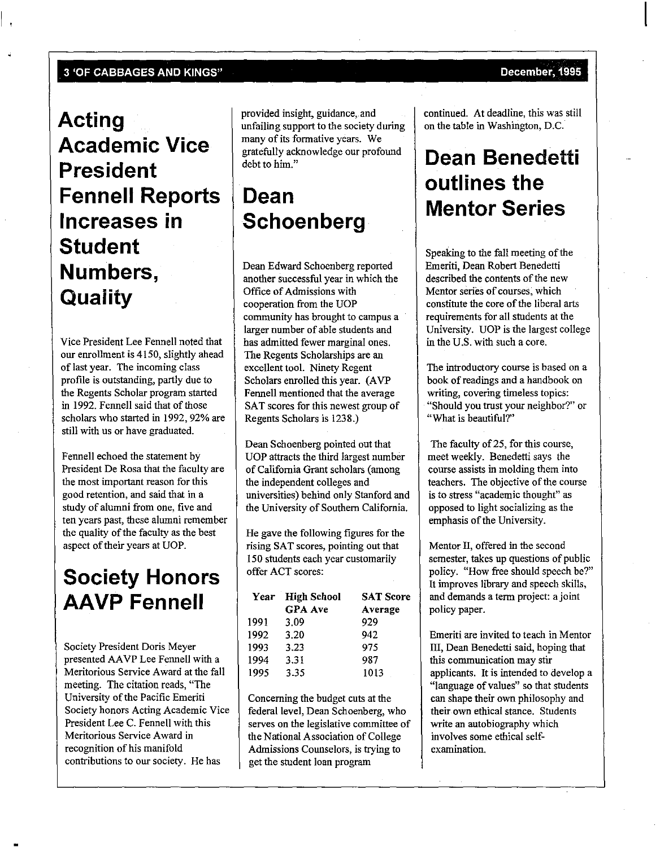$\mathbf{I}$ 

## **Acting Academic Vice President Fennell Reports Increases in Student Numbers, Quality**

Vice President Lee Fennell noted that our enrollment is 4150, slightly ahead of last year. The incoming class profile is outstanding, partly due to the Regents Scholar program started in 1992. Fennell said that of those scholars who started in 1992, 92% are still with us or have graduated.

Fennell echoed the statement by President De Rosa that the faculty are the most important reason for this good retention, and said that in a study of alumni from one, five and **ten years past, these alumni remember**  the quality of the faculty as the best aspect of their years at UOP.

## **Society Honors AAVP Fennell**

Society President Doris Meyer presented AA VP Lee Fennell with a Meritorious Service Award at the fall meeting. The citation reads, "The University of the Pacific Emeriti Society honors Acting Academic Vice President Lee C. Fennell with this **Meritorious Service Award in**  recognition of his manifold contributions to our society. He has

provided insight, guidance, and unfailing support to the society during many of its formative years. We gratefully acknowledge our profound debt to him."

## **Dean Schoenberg**

Dean Edward Schoenberg reported another successful year in which the Office of Admissions with cooperation from the UOP community has brought to campus a larger number of able students and has admitted fewer marginal ones. The Regents Scholarships are an excellent tool. Ninety Regent Scholars enrolled this year. (AVP Fennell mentioned that the average SAT scores for this newest group of Regents Scholars is 1238.)

Dean Schoenberg pointed out that UOP attracts the third largest number of California Grant scholars (among the independent colleges and universities) behind only Stanford and the University of Southern California.

He gave the following figures for the rising SAT scores, pointing out that 150 students each year customarily offer ACT scores:

| Year | <b>High School</b> | <b>SAT Score</b> |
|------|--------------------|------------------|
|      | <b>GPA</b> Ave     | Average          |
| 1991 | 3.09               | 929              |
| 1992 | 3.20               | 942              |
| 1993 | 3.23               | 975              |
| 1994 | 3.31               | 987              |
| 1995 | 3.35               | 1013             |

Concerning the budget cuts at the federal level, Dean Schoenberg, who serves on the legislative committee of the National Association of College Admissions Counselors, is trying to get the student loan program

continued. At deadline, this was still on the table in Washington, D.C.

# **Dean Benedetti outlines the Mentor Series**

Speaking to the fall meeting of the Emeriti, Dean Robert Benedetti described the contents of the new **Mentor series of courses, which** constitute the core of the liberal arts requirements for all students at the University. UOP is the largest college in the U.S. with such a core.

The introductory course is based on a book of readings and a handbook on **writing, covering timeless topics:**  "Should you trust your neighbor?" or "What is beautiful?"

The faculty of 25, for this course, meet weekly. Benedetti says the course assists in molding them into teachers. The objective of the course **is to stress "academic thought" as**  opposed to light socializing as the emphasis of the University.

Mentor II, offered in the second semester, takes up questions of public policy. "How free should speech be?'' It improves library and speech skills, and demands a term project: a joint policy paper.

Emeriti are invited to teach in Mentor III, Dean Benedetti said, hoping that **this communication may stir**  applicants. It is intended to develop a **"language of values" so that srudents**  can shape their own philosophy and their own ethical stance. Students write an autobiography which involves some ethical self**examination.**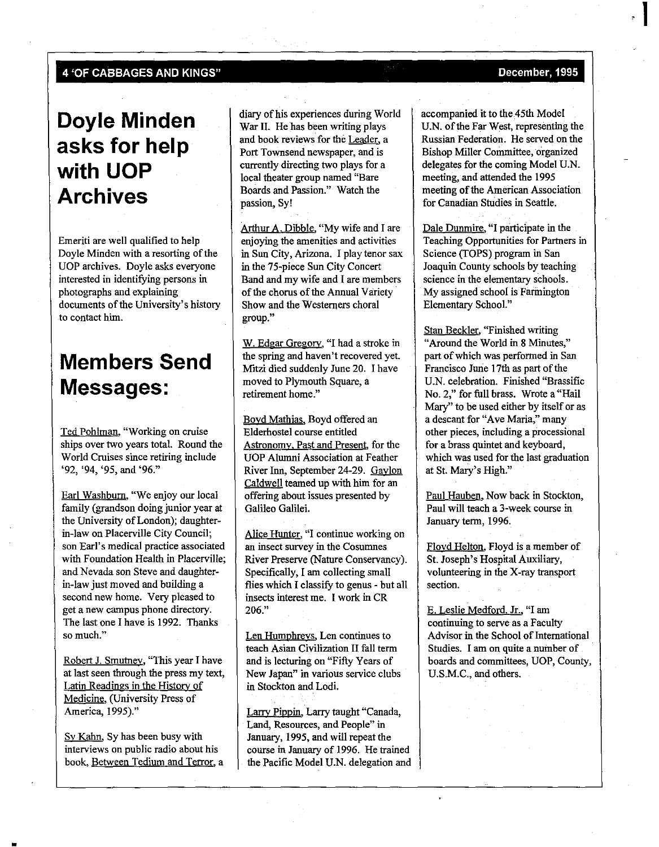## **Doyle Minden asks for help with UOP Archives**

Emeriti are well qualified to help Doyle Minden with a resorting of the UOP archives. Doyle asks everyone interested in identifying persons in photographs and explaining documents of the University's history to contact him.

## **Members Send Messages:**

Ted Pohlman. "Working on cruise ships over two years total. Round the World Cruises since retiring include **'92, '94, '95, and '96."** 

Earl Washburn. "We enjoy our local family (grandson doing junior year at the University of London); daughterin-law on Placerville City Council; **son Earl's medical practice associated**  with Foundation Health in Placerville; and Nevada son Steve and daughterin-law just moved and building a second new home. Very pleased to get a new campus phone directory. The last one I have is 1992. Thanks **so much."** 

Robert J. Smutney, "This year I have at last seen through the press my text, Latin Readings in the History of Medicine. (University Press of America, 1995)."

Sy Kahn, Sy has been busy with interviews on public radio about his book, Between Tedium and Terror, a diary of his experiences during World War II. He has been writing plays and book reviews for the Leader, a Port Townsend newspaper, and is currently directing two plays for a local theater group named "Bare Boards and Passion." Watch the passion, Sy!

Arthur A. Dibble, "My wife and I are enjoying the amenities and activities in Sun City, Arizona. I play tenor sax in the 75-piece Sun City Concert Band and my wife and I are members of the chorus of the Annual Variety Show and the Westerners choral **group."** 

W. Edgar Gregory, "I had a stroke in the spring and haven't recovered yet. Mitzi died suddenly June 20. I have moved to Plymouth Square, a **retirement home."** 

Boyd Mathias, Boyd offered an Elderhostel course entitled Astronomy, Past and Present. for the UOP Alumni Association at Feather River Inn, September 24-29. Gaylon Caldwell teamed up with him for an offering about issues presented by Galileo Galilei.

**Alice Hunter, ''I continue working on an insect survey in the Cosumnes**  River Preserve (Nature Conservancy). Specifically, I am collecting small flies which I classify to genus - but all insects interest me. I work in CR 206."

**Len Humphreys. Len continues to**  teach Asian Civilization II fall term and is lecturing on "Fifty Years of **New Japan" in various service clubs**  in Stockton and Lodi.

Larrv Pippin, Larry taught "Canada, Land, Resources, and People" in January, 1995, and will repeat the course in January of 1996. He trained the Pacific Model U.N. delegation and

**1** 

accompanied it to the 45th Model U.N. of the Far West, representing the Russian Federation. He served on the Bishop Miller Committee, organized delegates for the coming Model U.N. meeting, and attended the 1995 meeting of the American Association for Canadian Studies in Seattle.

Dale Dunmire, **"I** participate in the Teaching Opportunities for Partners in Science (TOPS) program in San Joaquin County schools by teaching science in the elementary schools. My assigned school is Farmington Elementary School."

Stan Beckler, "Finished writing **"Around the World in 8 Minutes,"**  part of which was performed in San Francisco June 17th as part of the U.N. celebration. Finished "Brassific No. 2," for full brass. Wrote a "Hail Mary" to be used either by itself or as **a descant for "Ave Maria," many other pieces, including a processional**  for a brass quintet and keyboard, which was used for the last graduation at St. Mary's High."

Paul Hauben, Now back in Stockton, Paul will teach a 3-week course in January term, 1996.

Floyd Helton, Floyd is a member of St. Joseph's Hospital Auxiliary, volunteering in the X-ray transport **section.** 

E. Leslie Medford, Jr., "I am continuing to serve as a Faculty Advisor in the School of International Studies. I am on quite a number of boards and committees, UOP, County, U.S.M.C., and others.